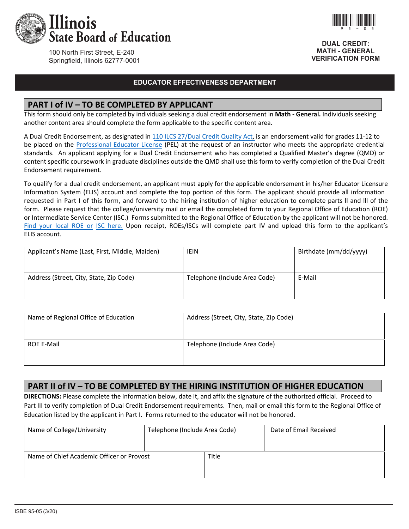

100 North First Street, E-240 Springfield, Illinois 62777-0001

#### **EDUCATOR EFFECTIVENESS DEPARTMENT**

#### **PART I of IV – TO BE COMPLETED BY APPLICANT**

This form should only be completed by individuals seeking a dual credit endorsement in **Math - General.** Individuals seeking another content area should complete the form applicable to the specific content area.

A Dual Credit Endorsement, as designated in 110 ILCS 27/Dual Credit Quality Act, is an endorsement valid for grades 11‐12 to be placed on the Professional Educator License (PEL) at the request of an instructor who meets the appropriate credential standards. An applicant applying for a Dual Credit Endorsement who has completed a Qualified Master's degree (QMD) or content specific coursework in graduate disciplines outside the QMD shall use this form to verify completion of the Dual Credit Endorsement requirement.

To qualify for a dual credit endorsement, an applicant must apply for the applicable endorsement in his/her Educator Licensure Information System (ELIS) account and complete the top portion of this form. The applicant should provide all information requested in Part I of this form, and forward to the hiring institution of higher education to complete parts ll and lll of the form. Please request that the college/university mail or email the completed form to your Regional Office of Education (ROE) or Intermediate Service Center (ISC.) Forms submitted to the Regional Office of Education by the applicant will not be honored. Find your local ROE or ISC here. Upon receipt, ROEs/ISCs will complete part IV and upload this form to the applicant's ELIS account.

| Applicant's Name (Last, First, Middle, Maiden) | <b>IEIN</b>                   | Birthdate (mm/dd/yyyy) |
|------------------------------------------------|-------------------------------|------------------------|
| Address (Street, City, State, Zip Code)        | Telephone (Include Area Code) | E-Mail                 |

| Name of Regional Office of Education | Address (Street, City, State, Zip Code) |
|--------------------------------------|-----------------------------------------|
| <b>ROE E-Mail</b>                    | Telephone (Include Area Code)           |

## **PART II of IV – TO BE COMPLETED BY THE HIRING INSTITUTION OF HIGHER EDUCATION**

**DIRECTIONS:** Please complete the information below, date it, and affix the signature of the authorized official. Proceed to Part III to verify completion of Dual Credit Endorsement requirements. Then, mail or email this form to the Regional Office of Education listed by the applicant in Part I. Forms returned to the educator will not be honored.

| Name of College/University                | Telephone (Include Area Code) |       | Date of Email Received |
|-------------------------------------------|-------------------------------|-------|------------------------|
| Name of Chief Academic Officer or Provost |                               | Title |                        |
|                                           |                               |       |                        |



**DUAL CREDIT: MATH - GENERAL VERIFICATION FORM**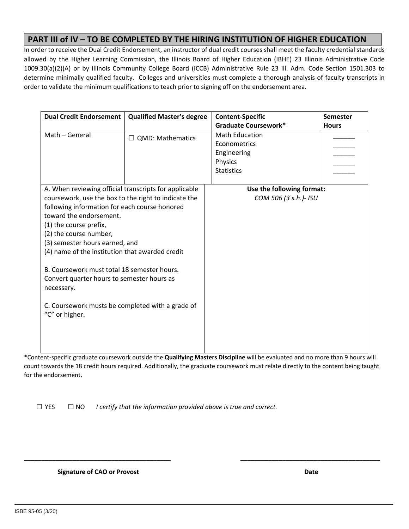### **PART III of IV – TO BE COMPLETED BY THE HIRING INSTITUTION OF HIGHER EDUCATION**

In order to receive the Dual Credit Endorsement, an instructor of dual credit courses shall meet the faculty credential standards allowed by the Higher Learning Commission, the Illinois Board of Higher Education (IBHE) 23 Illinois Administrative Code 1009.30(a)(2)(A) or by Illinois Community College Board (ICCB) Administrative Rule 23 Ill. Adm. Code Section 1501.303 to determine minimally qualified faculty. Colleges and universities must complete a thorough analysis of faculty transcripts in order to validate the minimum qualifications to teach prior to signing off on the endorsement area.

| <b>Dual Credit Endorsement</b>                        | <b>Qualified Master's degree</b> | <b>Content-Specific</b>     | <b>Semester</b> |  |
|-------------------------------------------------------|----------------------------------|-----------------------------|-----------------|--|
|                                                       |                                  | <b>Graduate Coursework*</b> | <b>Hours</b>    |  |
| Math - General                                        | $\Box$ QMD: Mathematics          | <b>Math Education</b>       |                 |  |
|                                                       |                                  | Econometrics                |                 |  |
|                                                       |                                  | Engineering                 |                 |  |
|                                                       |                                  | Physics                     |                 |  |
|                                                       |                                  | <b>Statistics</b>           |                 |  |
|                                                       |                                  |                             |                 |  |
| A. When reviewing official transcripts for applicable |                                  | Use the following format:   |                 |  |
| coursework, use the box to the right to indicate the  |                                  | COM 506 (3 s.h.)- ISU       |                 |  |
| following information for each course honored         |                                  |                             |                 |  |
| toward the endorsement.                               |                                  |                             |                 |  |
| (1) the course prefix,                                |                                  |                             |                 |  |
| (2) the course number,                                |                                  |                             |                 |  |
| (3) semester hours earned, and                        |                                  |                             |                 |  |
| (4) name of the institution that awarded credit       |                                  |                             |                 |  |
|                                                       |                                  |                             |                 |  |
| B. Coursework must total 18 semester hours.           |                                  |                             |                 |  |
| Convert quarter hours to semester hours as            |                                  |                             |                 |  |
| necessary.                                            |                                  |                             |                 |  |
|                                                       |                                  |                             |                 |  |
| C. Coursework musts be completed with a grade of      |                                  |                             |                 |  |
| "C" or higher.                                        |                                  |                             |                 |  |
|                                                       |                                  |                             |                 |  |
|                                                       |                                  |                             |                 |  |
|                                                       |                                  |                             |                 |  |

\*Content‐specific graduate coursework outside the **Qualifying Masters Discipline** will be evaluated and no more than 9 hours will count towards the 18 credit hours required. Additionally, the graduate coursework must relate directly to the content being taught for the endorsement.

**\_\_\_\_\_\_\_\_\_\_\_\_\_\_\_\_\_\_\_\_\_\_\_\_\_\_\_\_\_\_\_\_\_\_\_\_\_\_\_\_\_\_ \_\_\_\_\_\_\_\_\_\_\_\_\_\_\_\_\_\_\_\_\_\_\_\_\_\_\_\_\_\_\_\_\_\_\_\_\_\_\_\_** 

 $\Box$  YES  $\Box$  NO *I certify that the information provided above is true and correct.* 

 **Signature of CAO or Provost** *Signature of CAO or Provost*